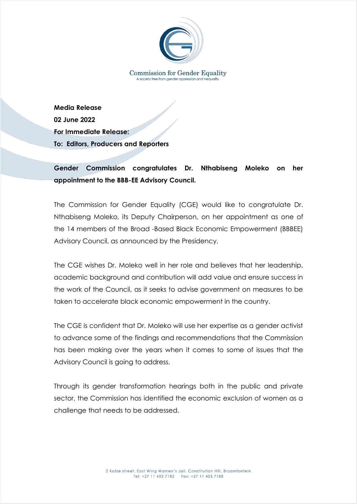

**Media Release 02 June 2022 For Immediate Release: To: Editors, Producers and Reporters**

## **Gender Commission congratulates Dr. Nthabiseng Moleko on her appointment to the BBB-EE Advisory Council.**

The Commission for Gender Equality (CGE) would like to congratulate Dr. Nthabiseng Moleko, its Deputy Chairperson, on her appointment as one of the 14 members of the Broad -Based Black Economic Empowerment (BBBEE) Advisory Council, as announced by the Presidency.

The CGE wishes Dr. Moleko well in her role and believes that her leadership, academic background and contribution will add value and ensure success in the work of the Council, as it seeks to advise government on measures to be taken to accelerate black economic empowerment in the country.

The CGE is confident that Dr. Moleko will use her expertise as a gender activist to advance some of the findings and recommendations that the Commission has been making over the years when it comes to some of issues that the Advisory Council is going to address.

Through its gender transformation hearings both in the public and private sector, the Commission has identified the economic exclusion of women as a challenge that needs to be addressed.